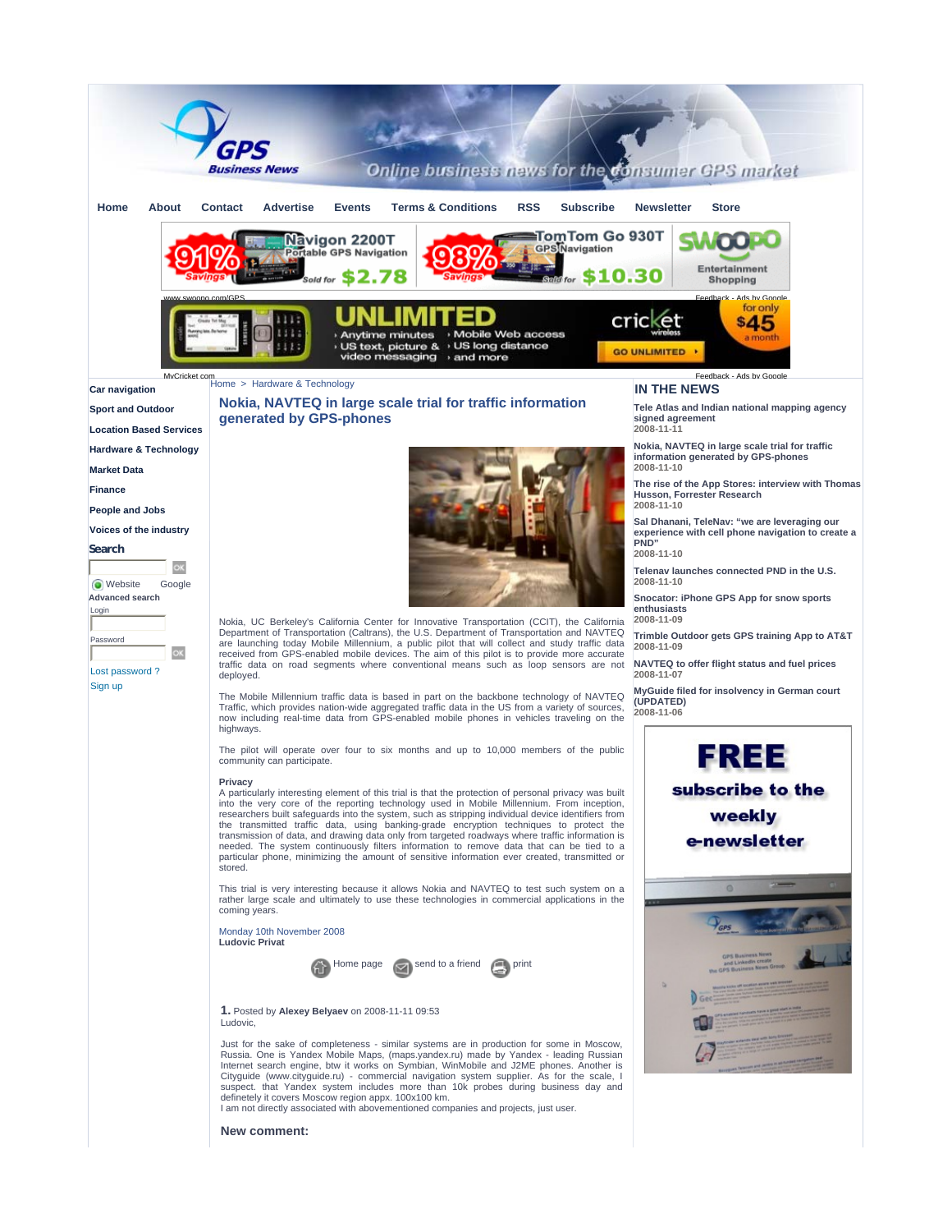